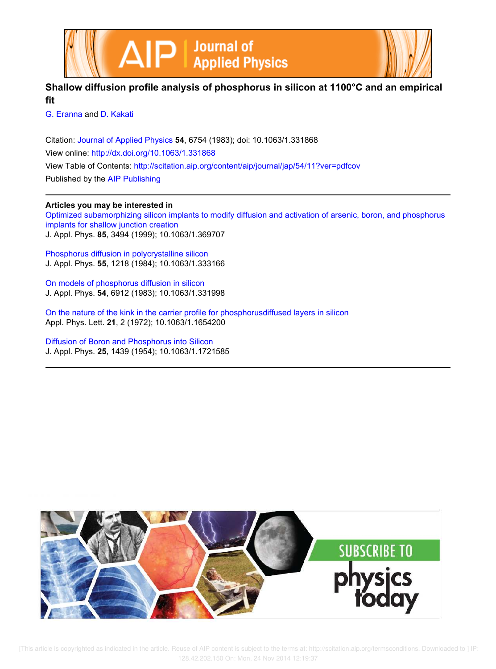



## **Shallow diffusion profile analysis of phosphorus in silicon at 1100°C and an empirical fit**

G. Eranna and D. Kakati

Citation: Journal of Applied Physics **54**, 6754 (1983); doi: 10.1063/1.331868 View online: http://dx.doi.org/10.1063/1.331868 View Table of Contents: http://scitation.aip.org/content/aip/journal/jap/54/11?ver=pdfcov Published by the AIP Publishing

## **Articles you may be interested in**

Optimized subamorphizing silicon implants to modify diffusion and activation of arsenic, boron, and phosphorus implants for shallow junction creation J. Appl. Phys. **85**, 3494 (1999); 10.1063/1.369707

Phosphorus diffusion in polycrystalline silicon J. Appl. Phys. **55**, 1218 (1984); 10.1063/1.333166

On models of phosphorus diffusion in silicon J. Appl. Phys. **54**, 6912 (1983); 10.1063/1.331998

On the nature of the kink in the carrier profile for phosphorusdiffused layers in silicon Appl. Phys. Lett. **21**, 2 (1972); 10.1063/1.1654200

Diffusion of Boron and Phosphorus into Silicon J. Appl. Phys. **25**, 1439 (1954); 10.1063/1.1721585

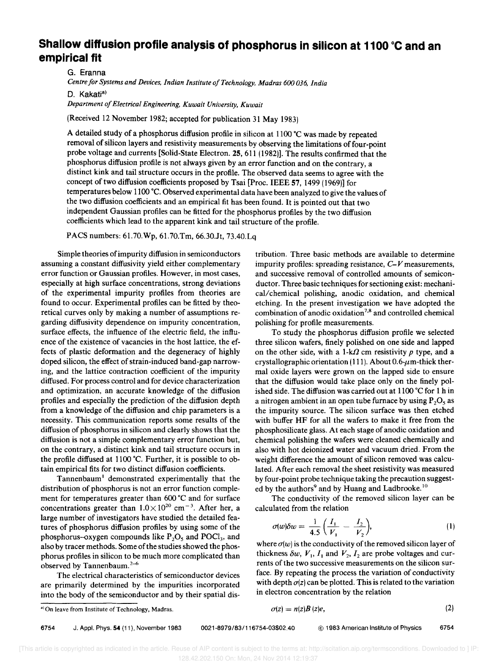## **Shallow diffusion profile analysis of phosphorus in silicon at 1100 °C and an empirical fit**

G. Eranna

Centre for Systems and Devices, Indian Institute of Technology, Madras 600 036, India

D. Kakati<sup>a)</sup>

*Department 0/ Electrical Engineering, Kuwait University, Kuwait* 

(Received 12 November 1982; accepted for publication 31 May 1983)

A detailed study of a phosphorus diffusion profile in silicon at ll00'C was made by repeated removal of silicon layers and resistivity measurements by observing the limitations of four-point probe voltage and currents [Solid-State Electron. 25, 611 (1982)]. The results confirmed that the phosphorus diffusion profile is not always given by an error function and on the contrary, a distinct kink and tail structure occurs in the profile. The observed data seems to agree with the concept of two diffusion coefficients proposed by Tsai [Proc. IEEE 57, 1499 (1969)] for temperatures below 1100 °C. Observed experimental data have been analyzed to give the values of the two diffusion coefficients and an empirical fit has been found. It is pointed out that two independent Gaussian profiles can be fitted for the phosphorus profiles by the two diffusion coefficients which lead to the apparent kink and tail structure of the profile.

PACS numbers: 6l.70.Wp, 61.70.Tm, 66.30.1t, 73.40.Lq

Simple theories of impurity diffusion in semiconductors assuming a constant diffusivity yield either complementary error function or Gaussian profiles. However, in most cases, especially at high surface concentrations, strong deviations of the experimental impurity profiles from theories are found to occur. Experimental profiles can be fitted by theoretical curves only by making a number of assumptions regarding diffusivity dependence on impurity concentration, surface effects, the influence of the electric field, the influence of the existence of vacancies in the host lattice, the effects of plastic deformation and the degeneracy of highly doped silicon, the effect of strain-induced band-gap narrowing, and the lattice contraction coefficient of the impurity diffused. For process control and for device characterization and optimization, an accurate knowledge of the diffusion profiles and especially the prediction of the diffusion depth from a knowledge of the diffusion and chip parameters is a necessity. This communication reports some results of the diffusion of phosphorus in silicon and clearly shows that the diffusion is not a simple complementary error function but, on the contrary, a distinct kink and tail structure occurs in the profile diffused at 1100 °C. Further, it is possible to obtain empirical fits for two distinct diffusion coefficients.

Tannenbaum<sup>1</sup> demonstrated experimentally that the distribution of phosphorus is not an error function complement for temperatures greater than 600'C and for surface concentrations greater than  $1.0 \times 10^{20}$  cm<sup>-3</sup>. After her, a large number of investigators have studied the detailed features of phosphorus diffusion profiles by using some of the phosphorus-oxygen compounds like  $P_2O_5$  and  $POCl_3$ , and also by tracer methods. Some of the studies showed the phosphorus profiles in silicon to be much more complicated than observed by Tannenbaum. $2-6$ 

The electrical characteristics of semiconductor devices are primarily determined by the impurities incorporated into the body of the semiconductor and by their spatial distribution. Three basic methods are available to determine impurity profiles: spreading resistance,  $C-V$  measurements, and successive removal of controlled amounts of semiconductor. Three basic techniques for sectioning exist: mechanical/chemical polishing, anodic oxidation, and chemical etching. In the present investigation we have adopted the combination of anodic oxidation 7.8 and controlled chemical polishing for profile measurements.

To study the phosphorus diffusion profile we selected three silicon wafers, finely polished on one side and lapped on the other side, with a  $1-k\Omega$  cm resistivity  $p$  type, and a crystallographic orientation (111). About 0.6- $\mu$ m-thick thermal oxide layers were grown on the lapped side to ensure that the diffusion would take place only on the finely polished side. The diffusion was carried out at l100'C for 1 h in a nitrogen ambient in an open tube furnace by using  $P_2O_5$  as the impurity source. The silicon surface was then etched with buffer HF for all the wafers to make it free from the phosphosilicate glass. At each stage of anodic oxidation and chemical polishing the wafers were cleaned chemically and also with hot deionized water and vacuum dried. From the weight difference the amount of silicon removed was calculated. After each removal the sheet resistivity was measured by four-point probe technique taking the precaution suggested by the authors<sup>9</sup> and by Huang and Ladbrooke.<sup>10</sup>

The conductivity of the removed silicon layer can be calculated from the relation

$$
\sigma(w)\delta w = \frac{1}{4.5}\left(\frac{I_1}{V_1} - \frac{I_2}{V_2}\right),\tag{1}
$$

where  $\sigma(w)$  is the conductivity of the removed silicon layer of thickness  $\delta w$ ,  $V_1$ ,  $I_1$  and  $V_2$ ,  $I_2$  are probe voltages and currents of the two successive measurements on the silicon surface. By repeating the process the variation of conductivity with depth  $\sigma(z)$  can be plotted. This is related to the variation in electron concentration by the relation

6754 J. Appl. Phys. 54 (11). November 1983 0021-8979/83/116754-03\$02.40 © 1983 American Institute of Physics 6754

 $\sigma(z) = n(z)B(z)e,$  (2)

a) On leave from Institute of Technology, Madras.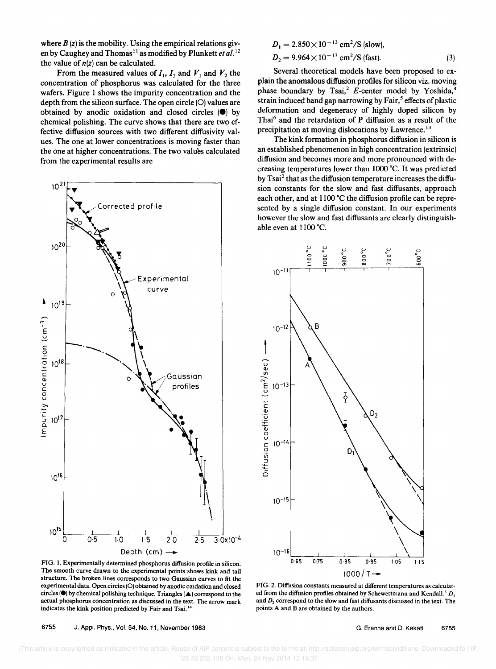where  $B(z)$  is the mobility. Using the empirical relations given by Caughey and Thomas<sup>11</sup> as modified by Plunkett *et al.*<sup>12</sup> the value of  $n(z)$  can be calculated.

From the measured values of  $I_1$ ,  $I_2$  and  $V_1$  and  $V_2$  the concentration of phosphorus was calculated for the three wafers. Figure 1 shows the impurity concentration and the depth from the silicon surface. The open circle (O) values are obtained by anodic oxidation and closed circles  $(\bullet)$  by chemical polishing. The curve shows that there are two effective diffusion sources with two different diffusivity values. The one at lower concentrations is moving faster than the one at higher concentrations. The two values calculated from the experimental results are



 $D_1 = 2.850 \times 10^{-13}$  cm<sup>2</sup>/S (slow),  $D_2 = 9.964 \times 10^{-13}$  cm<sup>2</sup>/S (fast). (3)

Several theoretical models have been proposed to explain the anomalous diffusion profiles for silicon viz. moving phase boundary by Tsai,<sup>2</sup> E-center model by Yoshida, strain induced band gap narrowing by  $Fair<sup>5</sup>$  effects of plastic deformation and degeneracy of highly doped silicon by Thai<sup>6</sup> and the retardation of P diffusion as a result of the precipitation at moving dislocations by Lawrence.<sup>13</sup>

The kink formation in phosphorus diffusion in silicon is an established phenomenon in high concentration (extrinsic) diffusion and becomes more and more pronounced with decreasing temperatures lower than 1000 °C. It was predicted by Tsai<sup>2</sup> that as the diffusion temperature increases the diffusion constants for the slow and fast diffusants, approach each other, and at 1100 °C the diffusion profile can be represented by a single diffusion constant. In our experiments however the slow and fast diffusants are clearly distinguishable even at  $1100^{\circ}$ C.



FIG. 1. Experimentally determined phosphorus diffusion profile in silicon. The smooth curve drawn to the experimental points shows kink and tail structure. The broken lines corresponds to two Gaussian curves to fit the experimental data. Open circles (0) obtained by anodic oxidation and closed circles ( $\bullet$ ) by chemical polishing technique. Triangles ( $\blacktriangle$ ) correspond to the actual phosphorus concentration as discussed in the text. The arrow mark indicates the kink position predicted by Fair and Tsai. '4

6755 J. Appl. Phys., Vol. 54, No. 11, November 1983

FIG. 2. Diffusion constants measured at different temperatures as calculated from the diffusion profiles obtained by Schewettmann and Kendall.<sup>3</sup>  $D_1$ and *D2* correspond to the slow and fast diffusants discussed in the text. The points A and B are obtained by the authors.

 [This article is copyrighted as indicated in the article. Reuse of AIP content is subject to the terms at: http://scitation.aip.org/termsconditions. Downloaded to ] IP: 128.42.202.150 On: Mon, 24 Nov 2014 12:19:37